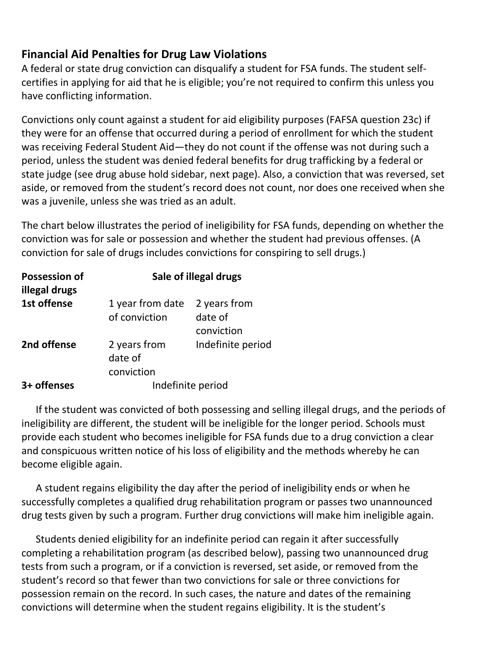## **Financial Aid Penalties for Drug Law Violations**

A federal or state drug conviction can disqualify a student for FSA funds. The student selfcertifies in applying for aid that he is eligible; you're not required to confirm this unless you have conflicting information.

Convictions only count against a student for aid eligibility purposes (FAFSA question 23c) if they were for an offense that occurred during a period of enrollment for which the student was receiving Federal Student Aid—they do not count if the offense was not during such a period, unless the student was denied federal benefits for drug trafficking by a federal or state judge (see drug abuse hold sidebar, next page). Also, a conviction that was reversed, set aside, or removed from the student's record does not count, nor does one received when she was a juvenile, unless she was tried as an adult.

The chart below illustrates the period of ineligibility for FSA funds, depending on whether the conviction was for sale or possession and whether the student had previous offenses. (A conviction for sale of drugs includes convictions for conspiring to sell drugs.)

| <b>Possession of</b><br>illegal drugs | Sale of illegal drugs   |                   |
|---------------------------------------|-------------------------|-------------------|
| 1st offense                           | 1 year from date        | 2 years from      |
|                                       | of conviction           | date of           |
|                                       |                         | conviction        |
| 2nd offense                           | 2 years from<br>date of | Indefinite period |
|                                       | conviction              |                   |
| 3+ offenses                           | Indefinite period       |                   |

If the student was convicted of both possessing and selling illegal drugs, and the periods of ineligibility are different, the student will be ineligible for the longer period. Schools must provide each student who becomes ineligible for FSA funds due to a drug conviction a clear and conspicuous written notice of his loss of eligibility and the methods whereby he can become eligible again.

A student regains eligibility the day after the period of ineligibility ends or when he successfully completes a qualified drug rehabilitation program or passes two unannounced drug tests given by such a program. Further drug convictions will make him ineligible again.

Students denied eligibility for an indefinite period can regain it after successfully completing a rehabilitation program (as described below), passing two unannounced drug tests from such a program, or if a conviction is reversed, set aside, or removed from the student's record so that fewer than two convictions for sale or three convictions for possession remain on the record. In such cases, the nature and dates of the remaining convictions will determine when the student regains eligibility. It is the student's